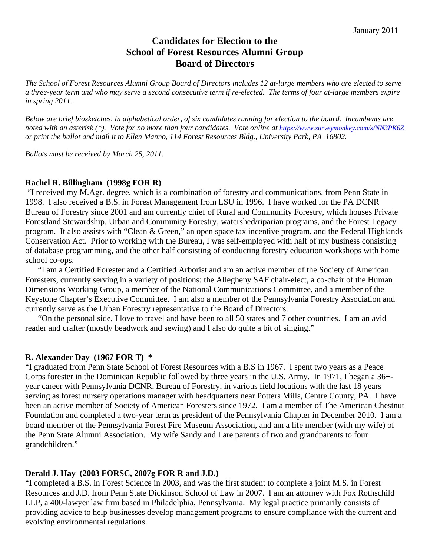# **Candidates for Election to the School of Forest Resources Alumni Group Board of Directors**

*The School of Forest Resources Alumni Group Board of Directors includes 12 at-large members who are elected to serve a three-year term and who may serve a second consecutive term if re-elected. The terms of four at-large members expire in spring 2011.* 

*Below are brief biosketches, in alphabetical order, of six candidates running for election to the board. Incumbents are noted with an asterisk (\*). Vote for no more than four candidates. Vote online at https://www.surveymonkey.com/s/NN3PK6Z or print the ballot and mail it to Ellen Manno, 114 Forest Resources Bldg., University Park, PA 16802.* 

*Ballots must be received by March 25, 2011.* 

#### **Rachel R. Billingham (1998g FOR R)**

 "I received my M.Agr. degree, which is a combination of forestry and communications, from Penn State in 1998. I also received a B.S. in Forest Management from LSU in 1996. I have worked for the PA DCNR Bureau of Forestry since 2001 and am currently chief of Rural and Community Forestry, which houses Private Forestland Stewardship, Urban and Community Forestry, watershed/riparian programs, and the Forest Legacy program. It also assists with "Clean & Green," an open space tax incentive program, and the Federal Highlands Conservation Act. Prior to working with the Bureau, I was self-employed with half of my business consisting of database programming, and the other half consisting of conducting forestry education workshops with home school co-ops.

"I am a Certified Forester and a Certified Arborist and am an active member of the Society of American Foresters, currently serving in a variety of positions: the Allegheny SAF chair-elect, a co-chair of the Human Dimensions Working Group, a member of the National Communications Committee, and a member of the Keystone Chapter's Executive Committee. I am also a member of the Pennsylvania Forestry Association and currently serve as the Urban Forestry representative to the Board of Directors.

"On the personal side, I love to travel and have been to all 50 states and 7 other countries. I am an avid reader and crafter (mostly beadwork and sewing) and I also do quite a bit of singing."

#### **R. Alexander Day (1967 FOR T) \***

"I graduated from Penn State School of Forest Resources with a B.S in 1967. I spent two years as a Peace Corps forester in the Dominican Republic followed by three years in the U.S. Army. In 1971, I began a 36+ year career with Pennsylvania DCNR, Bureau of Forestry, in various field locations with the last 18 years serving as forest nursery operations manager with headquarters near Potters Mills, Centre County, PA. I have been an active member of Society of American Foresters since 1972. I am a member of The American Chestnut Foundation and completed a two-year term as president of the Pennsylvania Chapter in December 2010. I am a board member of the Pennsylvania Forest Fire Museum Association, and am a life member (with my wife) of the Penn State Alumni Association. My wife Sandy and I are parents of two and grandparents to four grandchildren."

## **Derald J. Hay (2003 FORSC, 2007g FOR R and J.D.)**

"I completed a B.S. in Forest Science in 2003, and was the first student to complete a joint M.S. in Forest Resources and J.D. from Penn State Dickinson School of Law in 2007. I am an attorney with Fox Rothschild LLP, a 400-lawyer law firm based in Philadelphia, Pennsylvania. My legal practice primarily consists of providing advice to help businesses develop management programs to ensure compliance with the current and evolving environmental regulations.